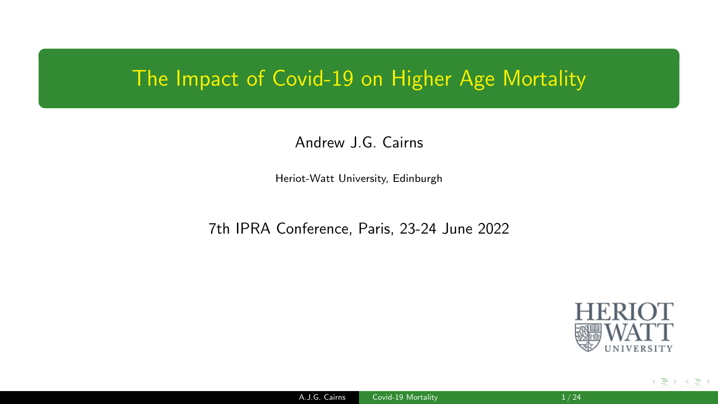#### <span id="page-0-0"></span>The Impact of Covid-19 on Higher Age Mortality

#### Andrew J.G. Cairns

Heriot-Watt University, Edinburgh

7th IPRA Conference, Paris, 23-24 June 2022



 $\mathbf{A}$  [,](#page-23-0)  $\mathbf{B}$  ,  $\mathbf{A}$  ,  $\mathbf{A}$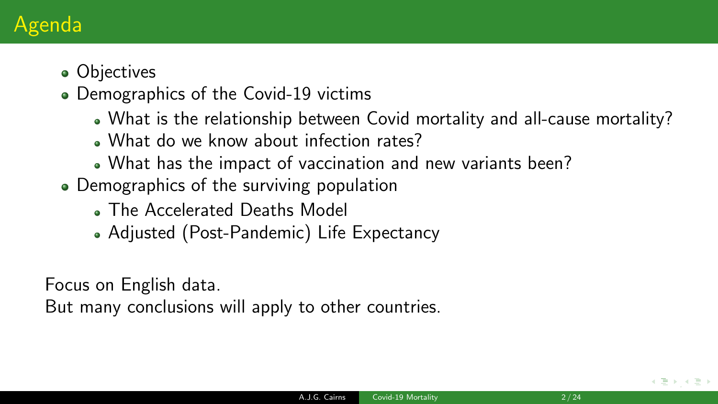# Agenda

#### • Objectives

- Demographics of the Covid-19 victims
	- What is the relationship between Covid mortality and all-cause mortality?
	- . What do we know about infection rates?
	- What has the impact of vaccination and new variants been?
- Demographics of the surviving population
	- The Accelerated Deaths Model
	- Adjusted (Post-Pandemic) Life Expectancy

Focus on English data.

But many conclusions will apply to other countries.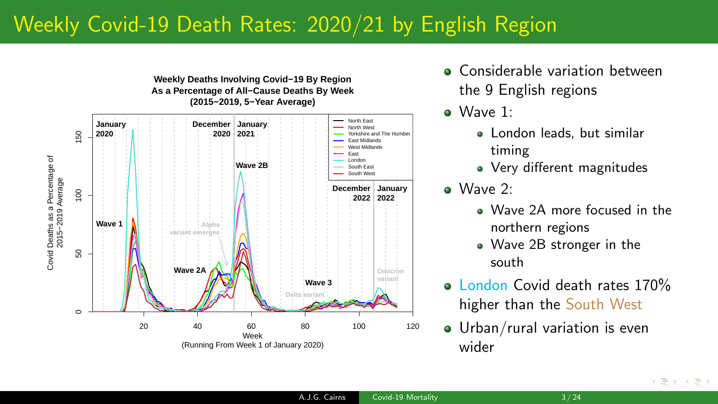### Weekly Covid-19 Death Rates: 2020/21 by English Region



- **Considerable variation between** the 9 English regions
- Wave 1:
	- London leads, but similar timing
	- Very different magnitudes
- Wave 2:
	- . Wave 2A more focused in the northern regions
	- Wave 2B stronger in the south
- **a** London Covid death rates 170% higher than the South West
- Urban/rural variation is even wider

 $\leftarrow$   $\Rightarrow$   $\rightarrow$   $\rightarrow$   $\Rightarrow$   $\rightarrow$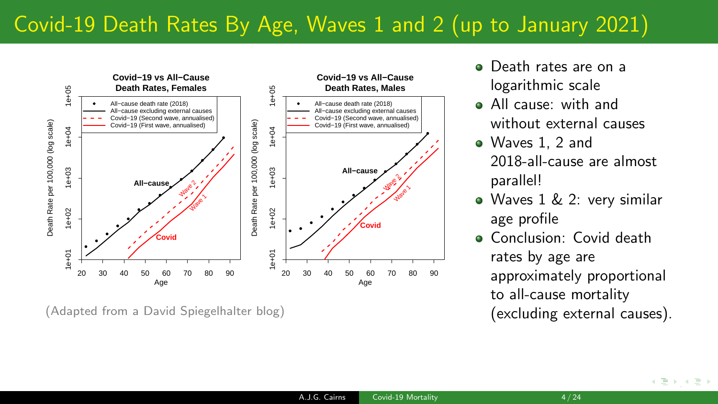# Covid-19 Death Rates By Age, Waves 1 and 2 (up to January 2021)



(Adapted from a David Spiegelhalter blog)

- **Q** Death rates are on a logarithmic scale
- All cause: with and without external causes
- Waves 1, 2 and 2018-all-cause are almost parallel!
- Waves 1 & 2: very similar age profile
- **Conclusion:** Covid death rates by age are approximately proportional to all-cause mortality (excluding external causes).

[,](#page-23-0)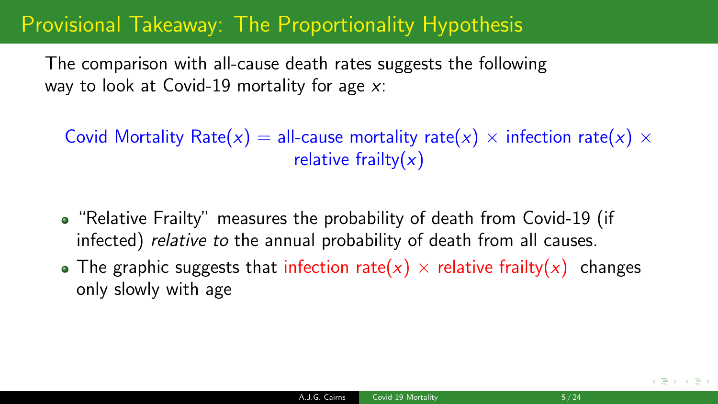### Provisional Takeaway: The Proportionality Hypothesis

The comparison with all-cause death rates suggests the following way to look at Covid-19 mortality for age  $x$ :

Covid Mortality Rate(x) = all-cause mortality rate(x)  $\times$  infection rate(x)  $\times$ relative frailty $(x)$ 

- "Relative Frailty" measures the probability of death from Covid-19 (if infected) relative to the annual probability of death from all causes.
- The graphic suggests that infection rate(x)  $\times$  relative frailty(x) changes only slowly with age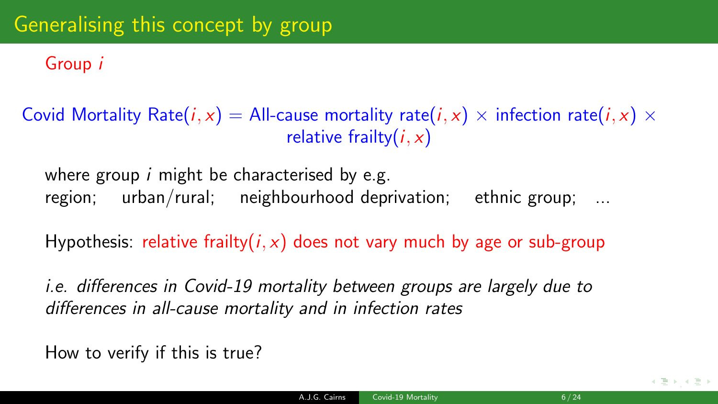Group i

Covid Mortality Rate(*i*, x) = All-cause mortality rate(*i*, x)  $\times$  infection rate(*i*, x)  $\times$ relative frailty $(i, x)$ 

where group *i* might be characterised by e.g. region; urban/rural; neighbourhood deprivation; ethnic group; ...

Hypothesis: relative frailty( $i, x$ ) does not vary much by age or sub-group

i.e. differences in Covid-19 mortality between groups are largely due to differences in all-cause mortality and in infection rates

How to verify if this is true?

(唐) (唐)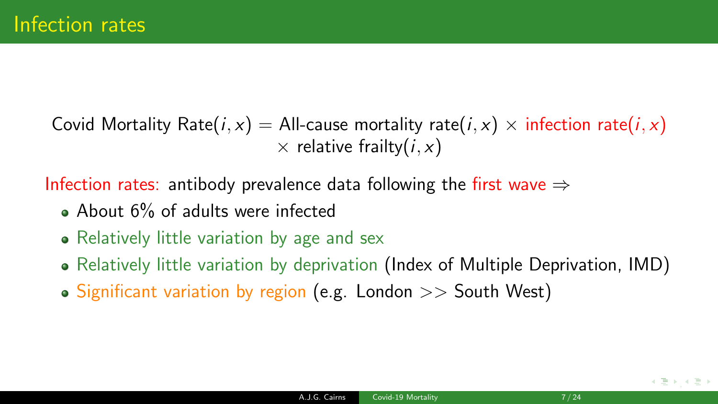Covid Mortality Rate(i, x) = All-cause mortality rate(i, x)  $\times$  infection rate(i, x)  $\times$  relative frailty(*i*, *x*)

Infection rates: antibody prevalence data following the first wave  $\Rightarrow$ 

- About 6% of adults were infected
- Relatively little variation by age and sex
- Relatively little variation by deprivation (Index of Multiple Deprivation, IMD)
- Significant variation by region (e.g. London  $>>$  South West)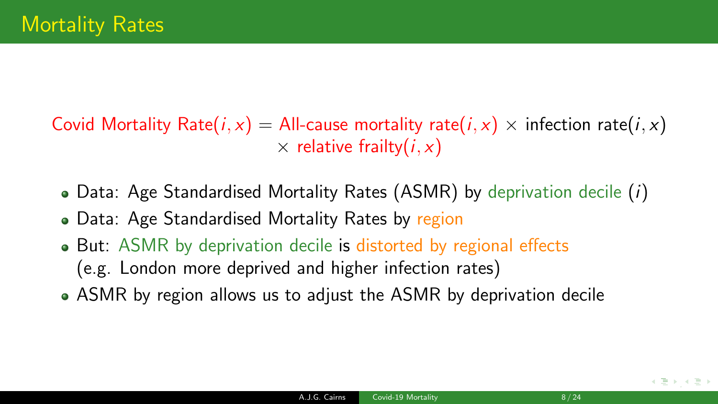Covid Mortality Rate(i, x) = All-cause mortality rate(i, x)  $\times$  infection rate(i, x)  $\times$  relative frailty(*i, x*)

- Data: Age Standardised Mortality Rates (ASMR) by deprivation decile  $(i)$
- Data: Age Standardised Mortality Rates by region
- But: ASMR by deprivation decile is distorted by regional effects (e.g. London more deprived and higher infection rates)
- ASMR by region allows us to adjust the ASMR by deprivation decile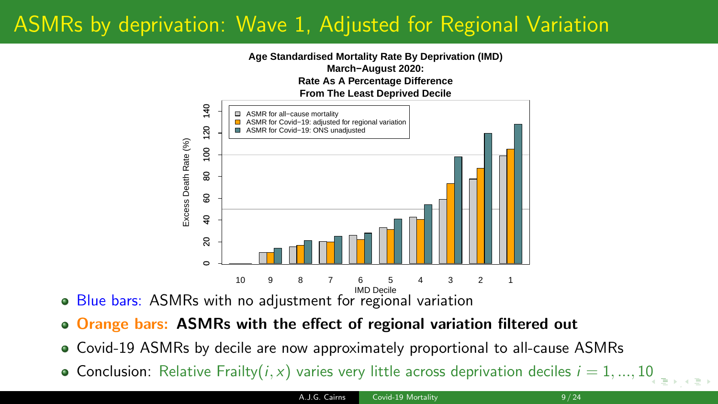# ASMRs by deprivation: Wave 1, Adjusted for Regional Variation



- Blue bars: ASMRs with no adjustment for regional variation
- o Orange bars: ASMRs with the effect of regional variation filtered out
- Covid-19 ASMRs by decile are now approximately proportional to all-cause ASMRs
- **Conclusion:** Relative Frailty $(i, x)$  $(i, x)$  $(i, x)$  varies very little across deprivation deciles  $i = 1, ..., 10$  $i = 1, ..., 10$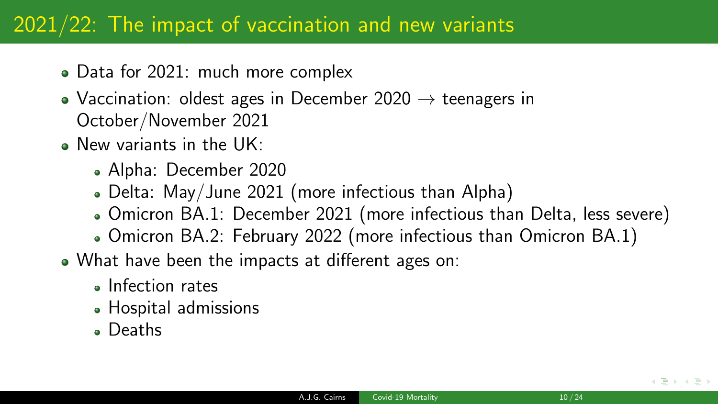### 2021/22: The impact of vaccination and new variants

- Data for 2021: much more complex
- Vaccination: oldest ages in December 2020  $\rightarrow$  teenagers in October/November 2021
- . New variants in the UK:
	- Alpha: December 2020
	- Delta: May/June 2021 (more infectious than Alpha)
	- Omicron BA.1: December 2021 (more infectious than Delta, less severe)
	- Omicron BA.2: February 2022 (more infectious than Omicron BA.1)
- What have been the impacts at different ages on:
	- **a** Infection rates
	- Hospital admissions
	- Deaths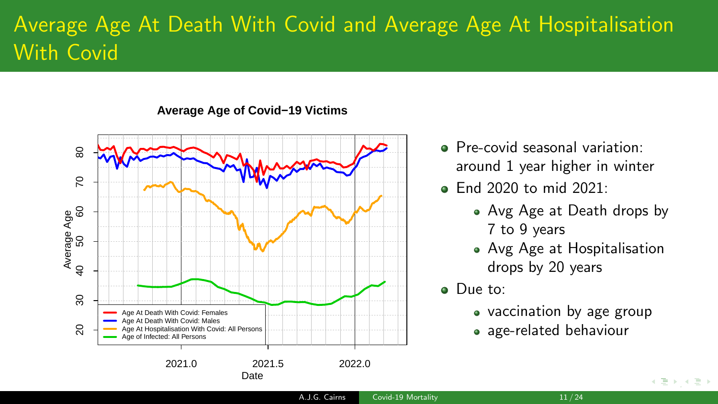# Average Age At Death With Covid and Average Age At Hospitalisation With Covid

**Average Age of Covid−19 Victims**



- **•** Pre-covid seasonal variation: around 1 year higher in winter
- $\bullet$  End 2020 to mid 2021:
	- Avg Age at Death drops by 7 to 9 years
	- Avg Age at Hospitalisation drops by 20 years
- Due to:
	- vaccination by age group
	- age-related behaviour

 $\rightarrow$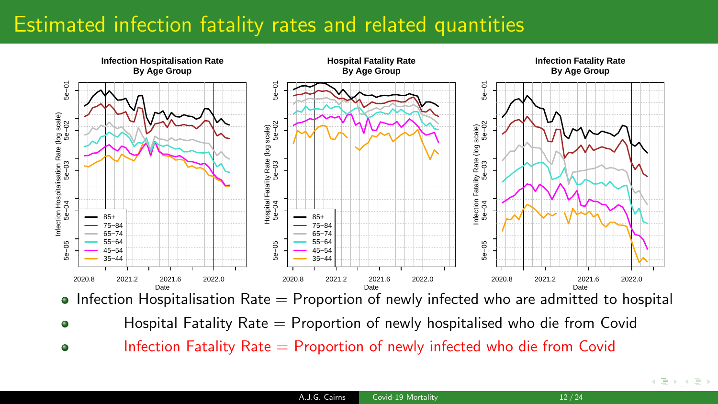# Estimated infection fatality rates and related quantities



- $\bullet$  Infection Hospitalisation Rate  $=$  Proportion of newly infected who are admitted to hospital
- Hospital Fatality Rate = Proportion of newly hospitalised who die from Covid ۰
- Infection Fatality  $Rate =$  Proportion of newly infected who die from Covid  $\bullet$

 $\leftarrow$   $\exists$   $\rightarrow$   $\rightarrow$   $\exists$   $\rightarrow$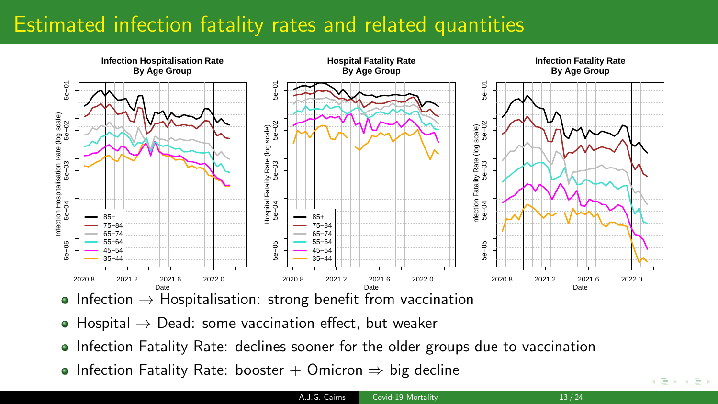# Estimated infection fatality rates and related quantities



- Infection  $\rightarrow$  Hospitalisation: strong benefit from vaccination
- $\bullet$  Hospital  $\rightarrow$  Dead: some vaccination effect, but weaker
- Infection Fatality Rate: declines sooner for the older groups due to vaccination
- Infection Fatality Rate: booster + Omicron  $\Rightarrow$  big decline

 $\leftarrow$  [,](#page-23-0) and  $\leftarrow$  , and  $\leftarrow$  .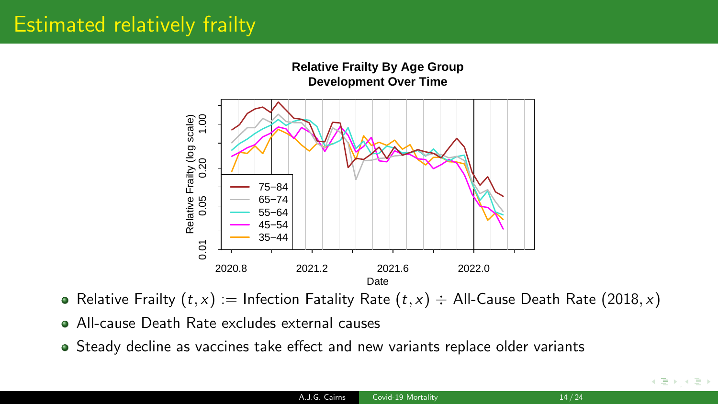# Estimated relatively frailty



- Relative Frailty  $(t, x) :=$  Infection Fatality Rate  $(t, x) \div$  All-Cause Death Rate (2018, x)
- All-cause Death Rate excludes external causes
- Steady decline as vaccines take effect and new variants replace older variants

 $\rightarrow$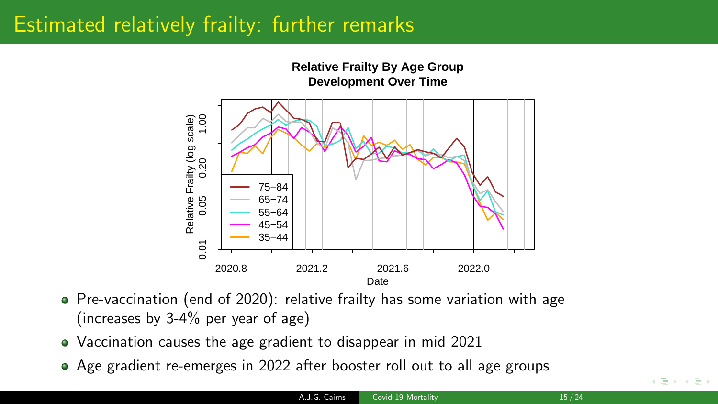## Estimated relatively frailty: further remarks



- Pre-vaccination (end of 2020): relative frailty has some variation with age (increases by 3-4% per year of age)
- Vaccination causes the age gradient to disappear in mid 2021
- Age gradient re-emerges in 2022 after booster roll out to all age groups

 $\leftarrow$   $\exists$   $\rightarrow$   $\rightarrow$   $\exists$   $\rightarrow$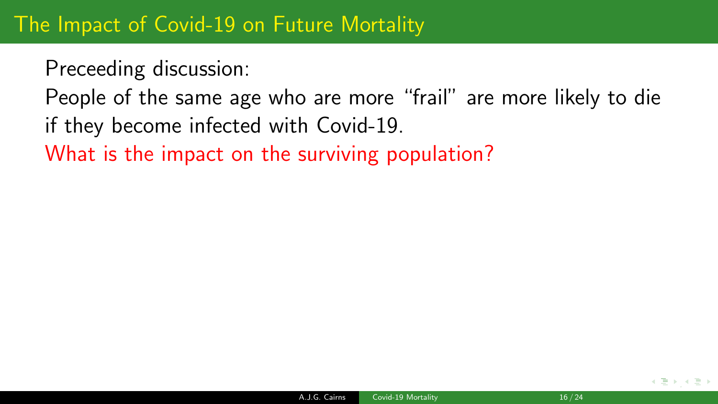Preceeding discussion:

People of the same age who are more "frail" are more likely to die if they become infected with Covid-19.

What is the impact on the surviving population?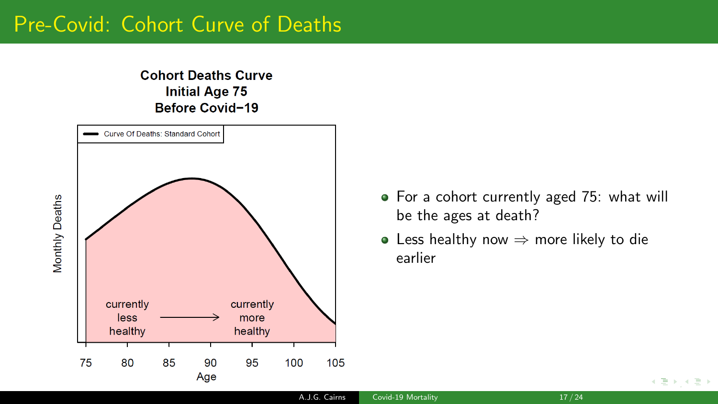#### Pre-Covid: Cohort Curve of Deaths

#### **Cohort Deaths Curve Initial Age 75** Before Covid-19



- For a cohort currently aged 75: what will be the ages at death?
- Less healthy now  $\Rightarrow$  more likely to die earlier

A.J.G. Cairns [Covid-19 Mortality](#page-0-0) 17 / 24

 $\leftarrow$   $\exists$   $\rightarrow$   $\rightarrow$   $\exists$   $\rightarrow$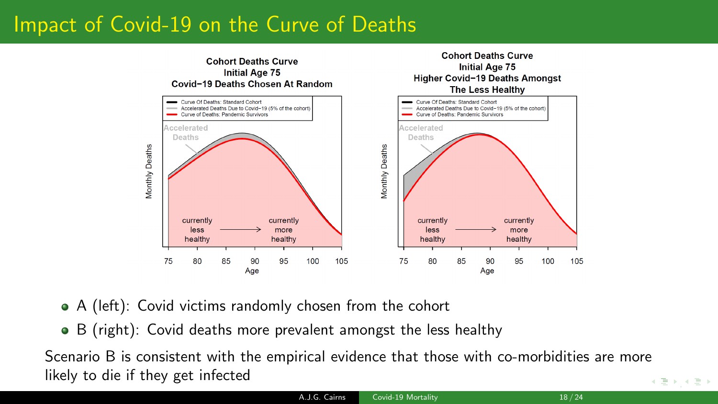# Impact of Covid-19 on the Curve of Deaths



- A (left): Covid victims randomly chosen from the cohort
- B (right): Covid deaths more prevalent amongst the less healthy

[,](#page-23-0) Scenario B is consistent with the empirical evidence that those with co-morbidities are more likely to die if they get infected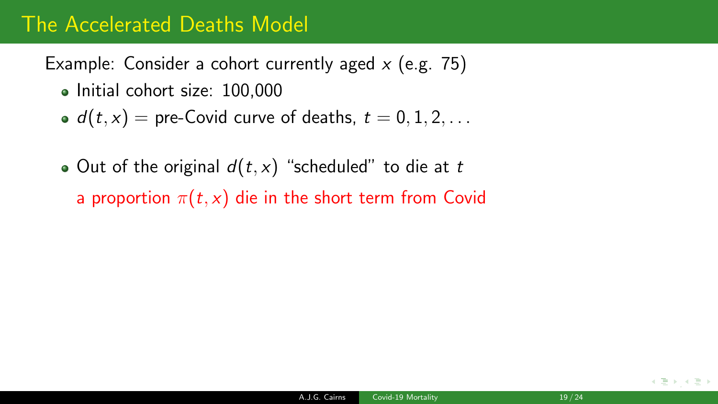### The Accelerated Deaths Model

Example: Consider a cohort currently aged  $x$  (e.g. 75)

- Initial cohort size: 100,000
- $d(t, x)$  = pre-Covid curve of deaths,  $t = 0, 1, 2, \ldots$
- Out of the original  $d(t, x)$  "scheduled" to die at t a proportion  $\pi(t, x)$  die in the short term from Covid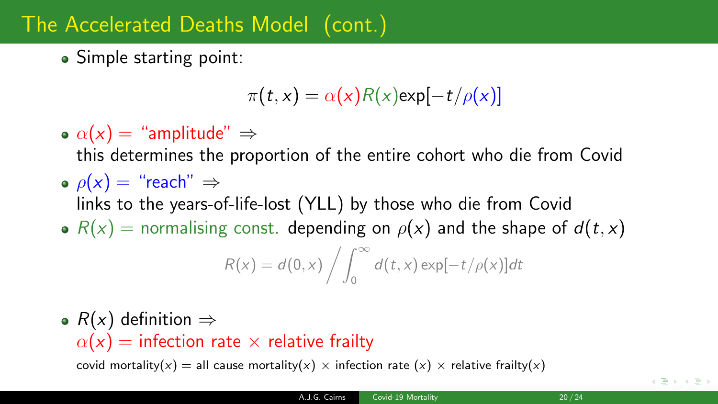# The Accelerated Deaths Model (cont.)

• Simple starting point:

$$
\pi(t,x) = \alpha(x)R(x) \exp[-t/\rho(x)]
$$

•  $\alpha(x) =$  "amplitude"  $\Rightarrow$ 

this determines the proportion of the entire cohort who die from Covid

- $\rho(x) =$  "reach"  $\Rightarrow$ 
	- links to the years-of-life-lost (YLL) by those who die from Covid
- $R(x)$  = normalising const. depending on  $\rho(x)$  and the shape of  $d(t, x)$

$$
R(x) = d(0, x) / \int_0^\infty d(t, x) \exp[-t/\rho(x)] dt
$$

•  $R(x)$  definition  $\Rightarrow$  $\alpha(x)$  = infection rate  $\times$  relative frailty

covid mortality(x) = all cause mortality(x)  $\times$  infection rate (x)  $\times$  relative frailty(x)

∢ 듣 ⊁ → 듣 )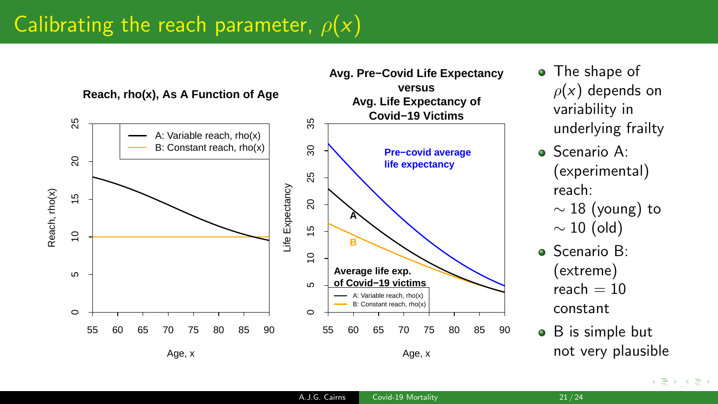## Calibrating the reach parameter,  $\rho(x)$

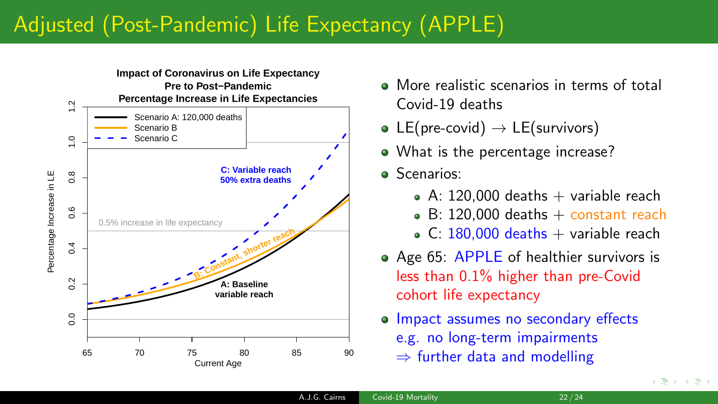# Adjusted (Post-Pandemic) Life Expectancy (APPLE)



- More realistic scenarios in terms of total Covid-19 deaths
- LE(pre-covid)  $\rightarrow$  LE(survivors)
- What is the percentage increase?
- **Scenarios:** 
	- $\bullet$  A: 120,000 deaths  $+$  variable reach
	- $\bullet$  B: 120,000 deaths  $+$  constant reach
	- $\bullet$  C: 180.000 deaths + variable reach
- Age 65: APPLE of healthier survivors is less than 0.1% higher than pre-Covid cohort life expectancy
- **Impact assumes no secondary effects** e.g. no long-term impairments  $\Rightarrow$  further data and modelling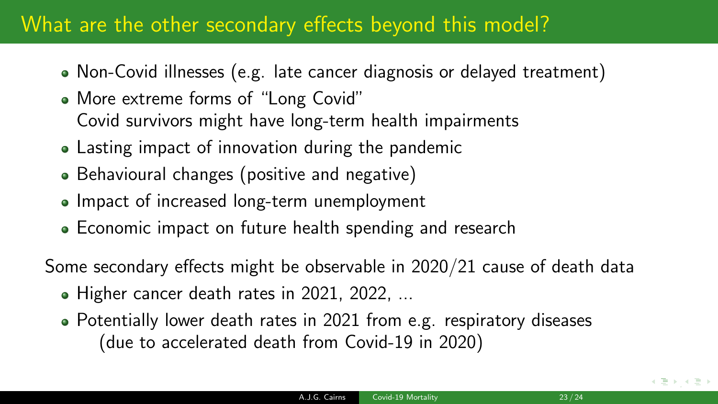### What are the other secondary effects beyond this model?

- Non-Covid illnesses (e.g. late cancer diagnosis or delayed treatment)
- More extreme forms of "Long Covid" Covid survivors might have long-term health impairments
- Lasting impact of innovation during the pandemic
- Behavioural changes (positive and negative)
- Impact of increased long-term unemployment
- Economic impact on future health spending and research

Some secondary effects might be observable in 2020/21 cause of death data

- Higher cancer death rates in 2021, 2022, ...
- Potentially lower death rates in 2021 from e.g. respiratory diseases (due to accelerated death from Covid-19 in 2020)